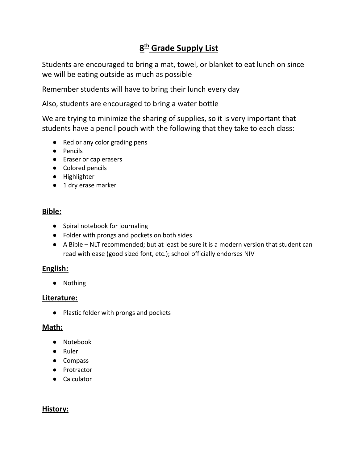# **8 th Grade Supply List**

Students are encouraged to bring a mat, towel, or blanket to eat lunch on since we will be eating outside as much as possible

Remember students will have to bring their lunch every day

Also, students are encouraged to bring a water bottle

We are trying to minimize the sharing of supplies, so it is very important that students have a pencil pouch with the following that they take to each class:

- Red or any color grading pens
- Pencils
- Eraser or cap erasers
- Colored pencils
- Highlighter
- 1 dry erase marker

## **Bible:**

- Spiral notebook for journaling
- Folder with prongs and pockets on both sides
- A Bible NLT recommended; but at least be sure it is a modern version that student can read with ease (good sized font, etc.); school officially endorses NIV

## **English:**

● Nothing

#### **Literature:**

● Plastic folder with prongs and pockets

## **Math:**

- Notebook
- Ruler
- Compass
- Protractor
- Calculator

## **History:**